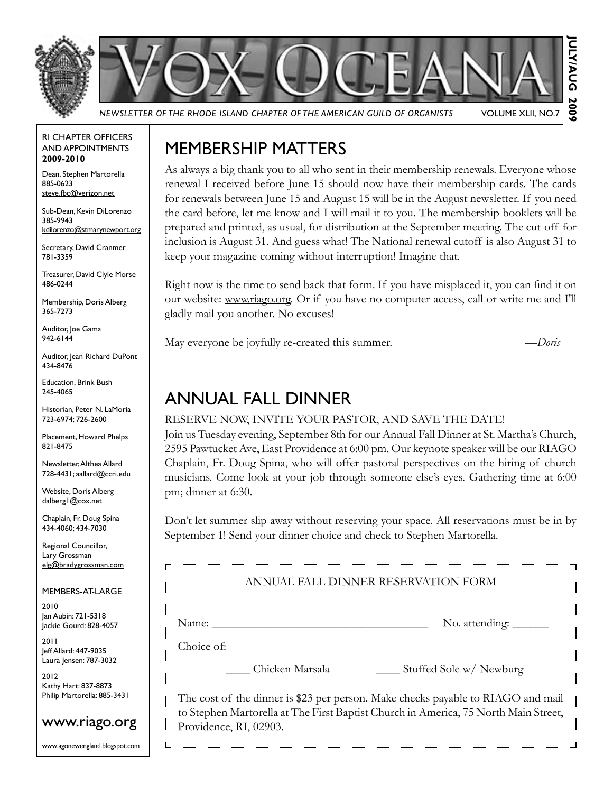



*Newsletter of the Rhode Island Chapter of the American Guild of Organists* Volume XLII, No.7

RI Chapter Officers and Appointments **2009-2010**

Dean, Stephen Martorella 885-0623 steve.fbc@verizon.net

Sub-Dean, Kevin DiLorenzo 385-9943 kdilorenzo@stmarynewport.org

Secretary, David Cranmer 781-3359

Treasurer, David Clyle Morse 486-0244

Membership, Doris Alberg 365-7273

Auditor, loe Gama 942-6144

Auditor, Jean Richard DuPont 434-8476

Education, Brink Bush 245-4065

Historian, Peter N. LaMoria 723-6974; 726-2600

Placement, Howard Phelps 821-8475

Newsletter, Althea Allard 728-4431; aallard@ccri.edu

Website, Doris Alberg dalberg1@cox.net

Chaplain, Fr. Doug Spina 434-4060; 434-7030

Regional Councillor, Lary Grossman elg@bradygrossman.com

#### Members-at-Large

2010 Jan Aubin: 721-5318 Jackie Gourd: 828-4057

2011 Jeff Allard: 447-9035 Laura Jensen: 787-3032

2012 Kathy Hart: 837-8873 Philip Martorella: 885-3431



www.agonewengland.blogspot.com

### Membership Matters

As always a big thank you to all who sent in their membership renewals. Everyone whose renewal I received before June 15 should now have their membership cards. The cards for renewals between June 15 and August 15 will be in the August newsletter. If you need the card before, let me know and I will mail it to you. The membership booklets will be prepared and printed, as usual, for distribution at the September meeting. The cut-off for inclusion is August 31. And guess what! The National renewal cutoff is also August 31 to keep your magazine coming without interruption! Imagine that.

Right now is the time to send back that form. If you have misplaced it, you can find it on our website: www.riago.org. Or if you have no computer access, call or write me and I'll gladly mail you another. No excuses!

May everyone be joyfully re-created this summer. *—Doris*

### Annual Fall Dinner

#### Reserve now, invite your pastor, and save the date!

Join us Tuesday evening, September 8th for our Annual Fall Dinner at St. Martha's Church, 2595 Pawtucket Ave, East Providence at 6:00 pm. Our keynote speaker will be our RIAGO Chaplain, Fr. Doug Spina, who will offer pastoral perspectives on the hiring of church musicians. Come look at your job through someone else's eyes. Gathering time at 6:00 pm; dinner at 6:30.

Don't let summer slip away without reserving your space. All reservations must be in by September 1! Send your dinner choice and check to Stephen Martorella.

|            | ANNUAL FALL DINNER RESERVATION FORM |                                                         |
|------------|-------------------------------------|---------------------------------------------------------|
| Name:      |                                     | No. attending: $\_\_\_\_\_\_\_\_\_\_\_\_\_\_\_\_\_\_\_$ |
| Choice of: |                                     |                                                         |
|            | Chicken Marsala                     | Stuffed Sole w/ Newburg                                 |

The cost of the dinner is \$23 per person. Make checks payable to RIAGO and mail to Stephen Martorella at The First Baptist Church in America, 75 North Main Street, Providence, RI, 02903.